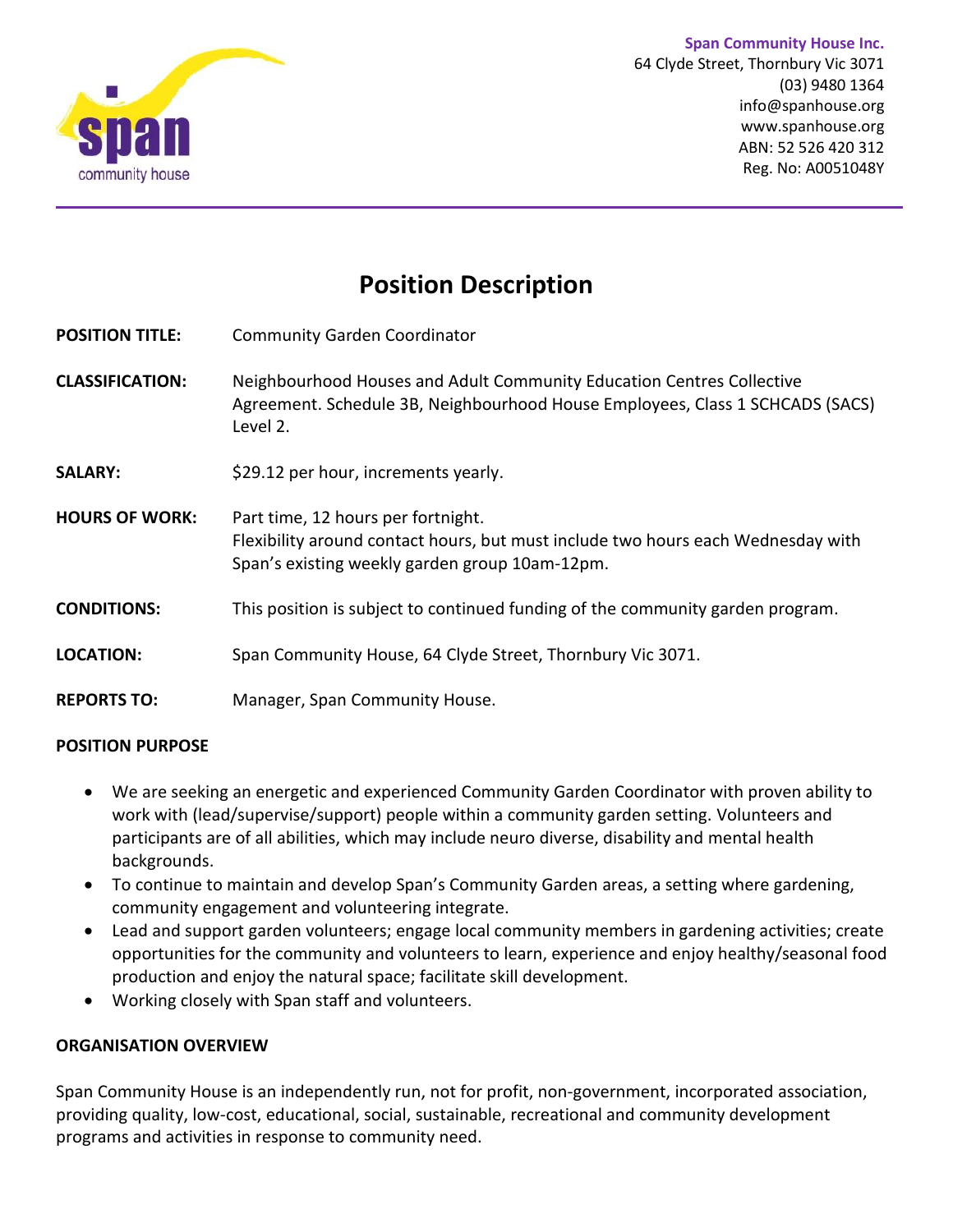

**Span Community House Inc.** 64 Clyde Street, Thornbury Vic 3071 (03) 9480 1364 info@spanhouse.org [www.spanhouse.org](http://www.spanhouse.org/) ABN: 52 526 420 312 Reg. No: A0051048Y

# **Position Description**

- **POSITION TITLE:** Community Garden Coordinator
- **CLASSIFICATION:** Neighbourhood Houses and Adult Community Education Centres Collective Agreement. Schedule 3B, Neighbourhood House Employees, Class 1 SCHCADS (SACS) Level 2.
- **SALARY:** \$29.12 per hour, increments yearly.
- **HOURS OF WORK:** Part time, 12 hours per fortnight. Flexibility around contact hours, but must include two hours each Wednesday with Span's existing weekly garden group 10am-12pm.
- **CONDITIONS:** This position is subject to continued funding of the community garden program.
- **LOCATION:** Span Community House, 64 Clyde Street, Thornbury Vic 3071.
- **REPORTS TO:** Manager, Span Community House.

#### **POSITION PURPOSE**

- We are seeking an energetic and experienced Community Garden Coordinator with proven ability to work with (lead/supervise/support) people within a community garden setting. Volunteers and participants are of all abilities, which may include neuro diverse, disability and mental health backgrounds.
- To continue to maintain and develop Span's Community Garden areas, a setting where gardening, community engagement and volunteering integrate.
- Lead and support garden volunteers; engage local community members in gardening activities; create opportunities for the community and volunteers to learn, experience and enjoy healthy/seasonal food production and enjoy the natural space; facilitate skill development.
- Working closely with Span staff and volunteers.

#### **ORGANISATION OVERVIEW**

Span Community House is an independently run, not for profit, non-government, incorporated association, providing quality, low-cost, educational, social, sustainable, recreational and community development programs and activities in response to community need.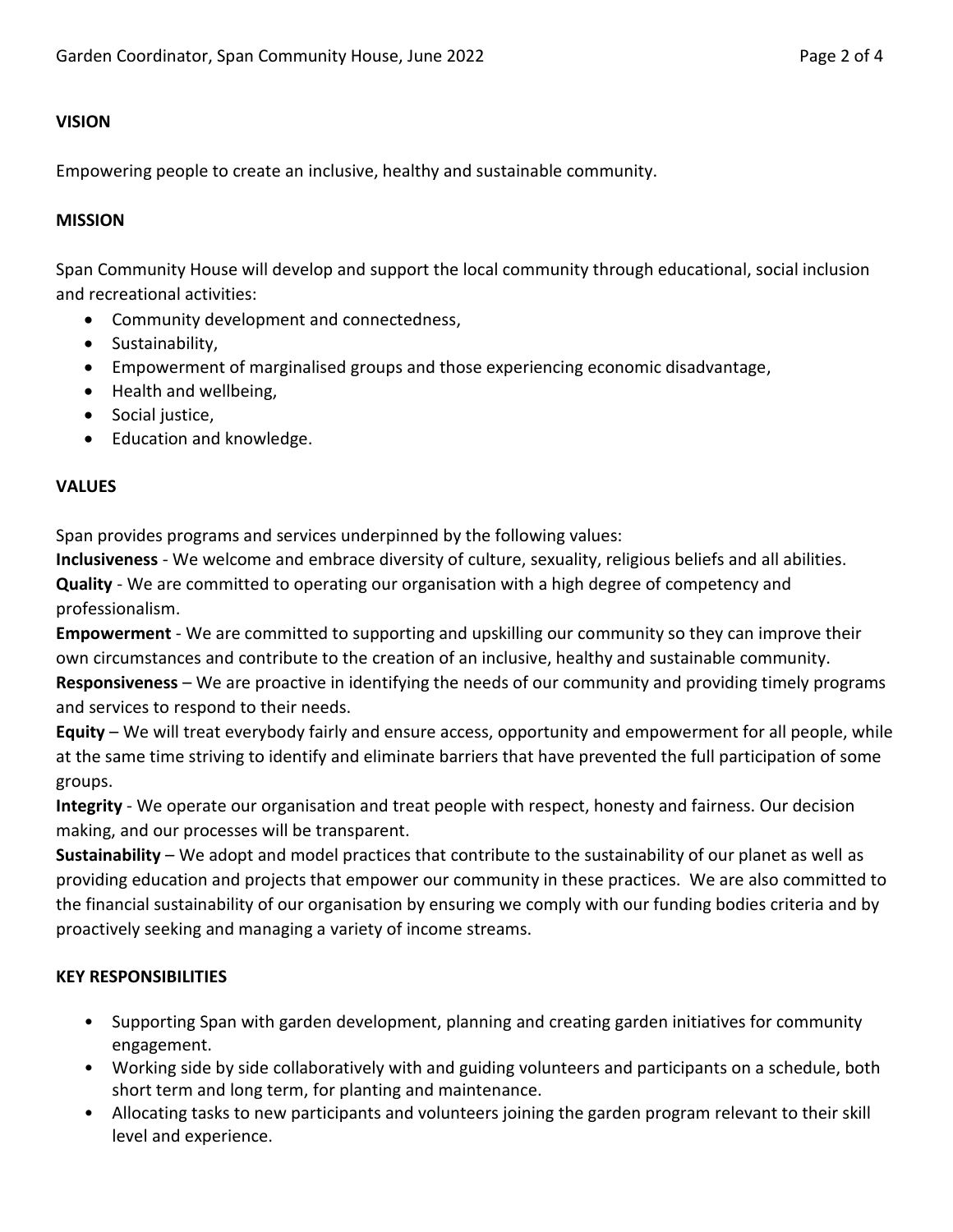## **VISION**

Empowering people to create an inclusive, healthy and sustainable community.

#### **MISSION**

Span Community House will develop and support the local community through educational, social inclusion and recreational activities:

- Community development and connectedness,
- **•** Sustainability.
- Empowerment of marginalised groups and those experiencing economic disadvantage,
- Health and wellbeing,
- Social justice,
- Education and knowledge.

## **VALUES**

Span provides programs and services underpinned by the following values:

**Inclusiveness** - We welcome and embrace diversity of culture, sexuality, religious beliefs and all abilities. **Quality** - We are committed to operating our organisation with a high degree of competency and professionalism.

**Empowerment** - We are committed to supporting and upskilling our community so they can improve their own circumstances and contribute to the creation of an inclusive, healthy and sustainable community. **Responsiveness** – We are proactive in identifying the needs of our community and providing timely programs and services to respond to their needs.

**Equity** – We will treat everybody fairly and ensure access, opportunity and empowerment for all people, while at the same time striving to identify and eliminate barriers that have prevented the full participation of some groups.

**Integrity** - We operate our organisation and treat people with respect, honesty and fairness. Our decision making, and our processes will be transparent.

**Sustainability** – We adopt and model practices that contribute to the sustainability of our planet as well as providing education and projects that empower our community in these practices. We are also committed to the financial sustainability of our organisation by ensuring we comply with our funding bodies criteria and by proactively seeking and managing a variety of income streams.

## **KEY RESPONSIBILITIES**

- Supporting Span with garden development, planning and creating garden initiatives for community engagement.
- Working side by side collaboratively with and guiding volunteers and participants on a schedule, both short term and long term, for planting and maintenance.
- Allocating tasks to new participants and volunteers joining the garden program relevant to their skill level and experience.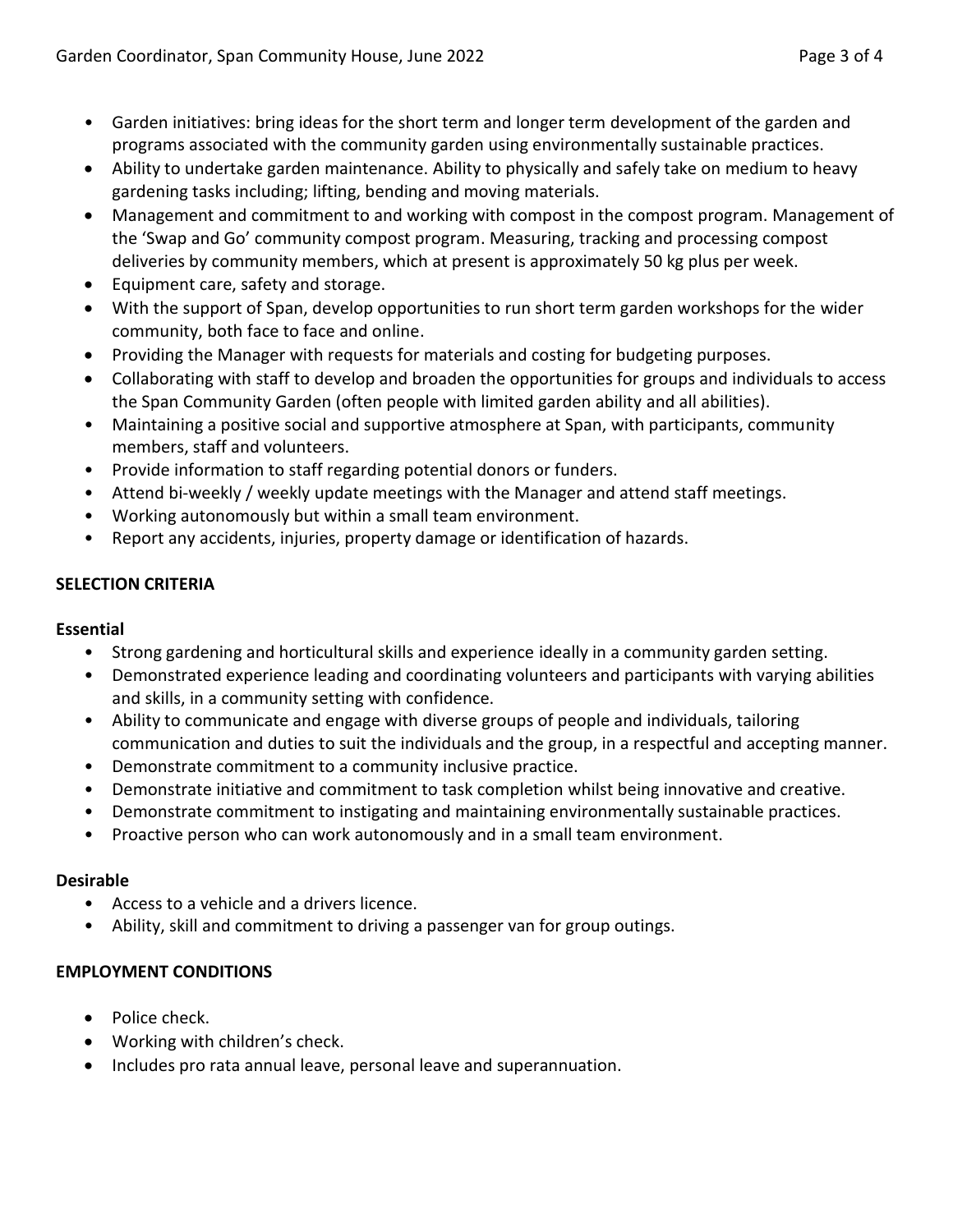- 
- Garden initiatives: bring ideas for the short term and longer term development of the garden and programs associated with the community garden using environmentally sustainable practices.
- Ability to undertake garden maintenance. Ability to physically and safely take on medium to heavy gardening tasks including; lifting, bending and moving materials.
- Management and commitment to and working with compost in the compost program. Management of the 'Swap and Go' community compost program. Measuring, tracking and processing compost deliveries by community members, which at present is approximately 50 kg plus per week.
- Equipment care, safety and storage.
- With the support of Span, develop opportunities to run short term garden workshops for the wider community, both face to face and online.
- Providing the Manager with requests for materials and costing for budgeting purposes.
- Collaborating with staff to develop and broaden the opportunities for groups and individuals to access the Span Community Garden (often people with limited garden ability and all abilities).
- Maintaining a positive social and supportive atmosphere at Span, with participants, community members, staff and volunteers.
- Provide information to staff regarding potential donors or funders.
- Attend bi-weekly / weekly update meetings with the Manager and attend staff meetings.
- Working autonomously but within a small team environment.
- Report any accidents, injuries, property damage or identification of hazards.

## **SELECTION CRITERIA**

## **Essential**

- Strong gardening and horticultural skills and experience ideally in a community garden setting.
- Demonstrated experience leading and coordinating volunteers and participants with varying abilities and skills, in a community setting with confidence.
- Ability to communicate and engage with diverse groups of people and individuals, tailoring communication and duties to suit the individuals and the group, in a respectful and accepting manner.
- Demonstrate commitment to a community inclusive practice.
- Demonstrate initiative and commitment to task completion whilst being innovative and creative.
- Demonstrate commitment to instigating and maintaining environmentally sustainable practices.
- Proactive person who can work autonomously and in a small team environment.

## **Desirable**

- Access to a vehicle and a drivers licence.
- Ability, skill and commitment to driving a passenger van for group outings.

## **EMPLOYMENT CONDITIONS**

- Police check.
- Working with children's check.
- Includes pro rata annual leave, personal leave and superannuation.